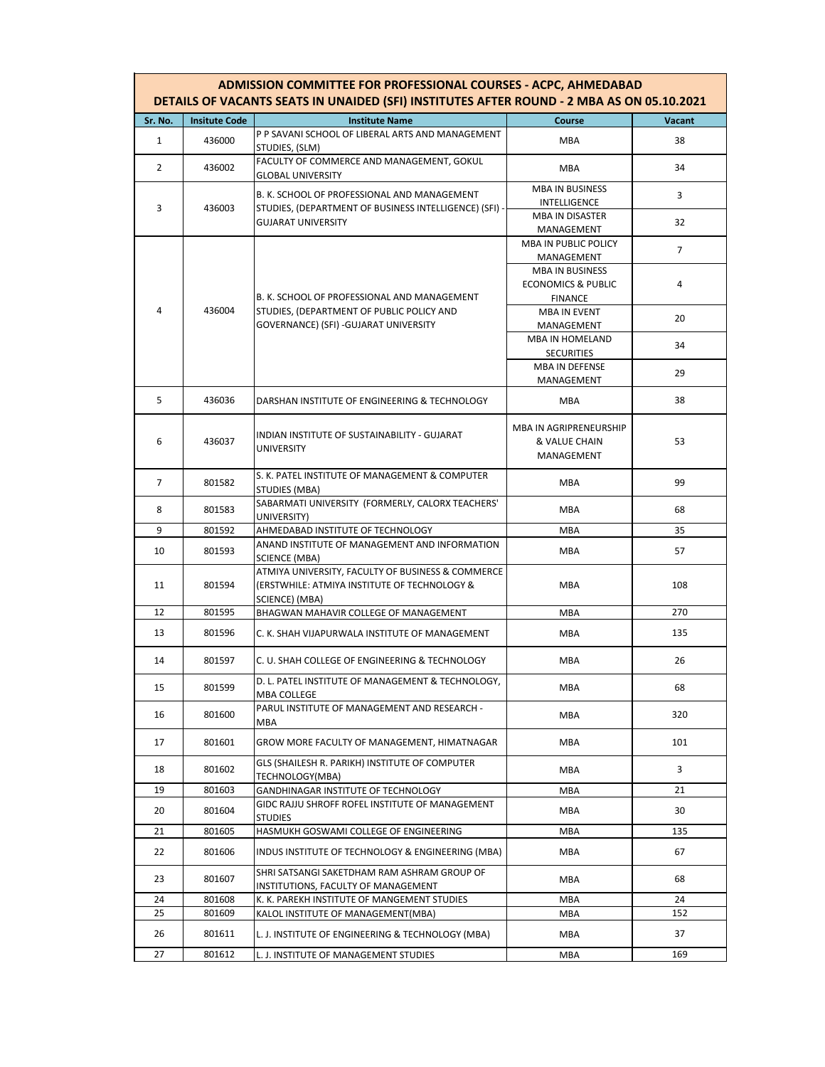| ADMISSION COMMITTEE FOR PROFESSIONAL COURSES - ACPC, AHMEDABAD<br>DETAILS OF VACANTS SEATS IN UNAIDED (SFI) INSTITUTES AFTER ROUND - 2 MBA AS ON 05.10.2021 |                      |                                                                                                                                    |                                                                           |                |
|-------------------------------------------------------------------------------------------------------------------------------------------------------------|----------------------|------------------------------------------------------------------------------------------------------------------------------------|---------------------------------------------------------------------------|----------------|
| Sr. No.                                                                                                                                                     | <b>Insitute Code</b> | <b>Institute Name</b>                                                                                                              | Course                                                                    | <b>Vacant</b>  |
| $\mathbf{1}$                                                                                                                                                | 436000               | P P SAVANI SCHOOL OF LIBERAL ARTS AND MANAGEMENT<br>STUDIES, (SLM)                                                                 | <b>MBA</b>                                                                | 38             |
| $\overline{2}$                                                                                                                                              | 436002               | FACULTY OF COMMERCE AND MANAGEMENT, GOKUL<br><b>GLOBAL UNIVERSITY</b>                                                              | MBA                                                                       | 34             |
| 3                                                                                                                                                           | 436003               | B. K. SCHOOL OF PROFESSIONAL AND MANAGEMENT                                                                                        | <b>MBA IN BUSINESS</b><br>INTELLIGENCE                                    | 3              |
|                                                                                                                                                             |                      | STUDIES, (DEPARTMENT OF BUSINESS INTELLIGENCE) (SFI) -<br><b>GUJARAT UNIVERSITY</b>                                                | <b>MBA IN DISASTER</b><br>MANAGEMENT                                      | 32             |
|                                                                                                                                                             | 436004               | B. K. SCHOOL OF PROFESSIONAL AND MANAGEMENT<br>STUDIES, (DEPARTMENT OF PUBLIC POLICY AND<br>GOVERNANCE) (SFI) - GUJARAT UNIVERSITY | <b>MBA IN PUBLIC POLICY</b><br>MANAGEMENT                                 | $\overline{7}$ |
|                                                                                                                                                             |                      |                                                                                                                                    | <b>MBA IN BUSINESS</b><br><b>ECONOMICS &amp; PUBLIC</b><br><b>FINANCE</b> | 4              |
| 4                                                                                                                                                           |                      |                                                                                                                                    | <b>MBA IN EVENT</b><br>MANAGEMENT                                         | 20             |
|                                                                                                                                                             |                      |                                                                                                                                    | <b>MBA IN HOMELAND</b><br><b>SECURITIES</b>                               | 34             |
|                                                                                                                                                             |                      |                                                                                                                                    | MBA IN DEFENSE<br>MANAGEMENT                                              | 29             |
| 5                                                                                                                                                           | 436036               | DARSHAN INSTITUTE OF ENGINEERING & TECHNOLOGY                                                                                      | <b>MBA</b>                                                                | 38             |
| 6                                                                                                                                                           | 436037               | INDIAN INSTITUTE OF SUSTAINABILITY - GUJARAT<br><b>UNIVERSITY</b>                                                                  | MBA IN AGRIPRENEURSHIP<br>& VALUE CHAIN<br>MANAGEMENT                     | 53             |
| $\overline{7}$                                                                                                                                              | 801582               | S. K. PATEL INSTITUTE OF MANAGEMENT & COMPUTER<br><b>STUDIES (MBA)</b>                                                             | <b>MBA</b>                                                                | 99             |
| 8                                                                                                                                                           | 801583               | SABARMATI UNIVERSITY (FORMERLY, CALORX TEACHERS'<br>UNIVERSITY)                                                                    | <b>MBA</b>                                                                | 68             |
| 9                                                                                                                                                           | 801592               | AHMEDABAD INSTITUTE OF TECHNOLOGY                                                                                                  | <b>MBA</b>                                                                | 35             |
| 10                                                                                                                                                          | 801593               | ANAND INSTITUTE OF MANAGEMENT AND INFORMATION<br><b>SCIENCE (MBA)</b>                                                              | MBA                                                                       | 57             |
| 11                                                                                                                                                          | 801594               | ATMIYA UNIVERSITY, FACULTY OF BUSINESS & COMMERCE<br>(ERSTWHILE: ATMIYA INSTITUTE OF TECHNOLOGY &<br>SCIENCE) (MBA)                | <b>MBA</b>                                                                | 108            |
| 12                                                                                                                                                          | 801595               | BHAGWAN MAHAVIR COLLEGE OF MANAGEMENT                                                                                              | <b>MBA</b>                                                                | 270            |
| 13                                                                                                                                                          | 801596               | C. K. SHAH VIJAPURWALA INSTITUTE OF MANAGEMENT                                                                                     | MBA                                                                       | 135            |
| 14                                                                                                                                                          | 801597               | C. U. SHAH COLLEGE OF ENGINEERING & TECHNOLOGY                                                                                     | <b>MBA</b>                                                                | 26             |
| 15                                                                                                                                                          | 801599               | D. L. PATEL INSTITUTE OF MANAGEMENT & TECHNOLOGY,<br>MBA COLLEGE                                                                   | MBA                                                                       | 68             |
| 16                                                                                                                                                          | 801600               | PARUL INSTITUTE OF MANAGEMENT AND RESEARCH -<br>MBA                                                                                | MBA                                                                       | 320            |
| 17                                                                                                                                                          | 801601               | GROW MORE FACULTY OF MANAGEMENT, HIMATNAGAR                                                                                        | MBA                                                                       | 101            |
| 18                                                                                                                                                          | 801602               | GLS (SHAILESH R. PARIKH) INSTITUTE OF COMPUTER<br>TECHNOLOGY(MBA)                                                                  | MBA                                                                       | 3              |
| 19                                                                                                                                                          | 801603               | GANDHINAGAR INSTITUTE OF TECHNOLOGY                                                                                                | MBA                                                                       | 21             |
| 20                                                                                                                                                          | 801604               | GIDC RAJJU SHROFF ROFEL INSTITUTE OF MANAGEMENT<br><b>STUDIES</b>                                                                  | MBA                                                                       | 30             |
| 21                                                                                                                                                          | 801605               | HASMUKH GOSWAMI COLLEGE OF ENGINEERING                                                                                             | MBA                                                                       | 135            |
| 22                                                                                                                                                          | 801606               | INDUS INSTITUTE OF TECHNOLOGY & ENGINEERING (MBA)                                                                                  | MBA                                                                       | 67             |
| 23                                                                                                                                                          | 801607               | SHRI SATSANGI SAKETDHAM RAM ASHRAM GROUP OF<br>INSTITUTIONS, FACULTY OF MANAGEMENT                                                 | MBA                                                                       | 68             |
| 24                                                                                                                                                          | 801608               | K. K. PAREKH INSTITUTE OF MANGEMENT STUDIES                                                                                        | <b>MBA</b>                                                                | 24             |
| 25                                                                                                                                                          | 801609               | KALOL INSTITUTE OF MANAGEMENT(MBA)                                                                                                 | MBA                                                                       | 152            |
| 26                                                                                                                                                          | 801611               | L. J. INSTITUTE OF ENGINEERING & TECHNOLOGY (MBA)                                                                                  | MBA                                                                       | 37             |
| 27                                                                                                                                                          | 801612               | L. J. INSTITUTE OF MANAGEMENT STUDIES                                                                                              | MBA                                                                       | 169            |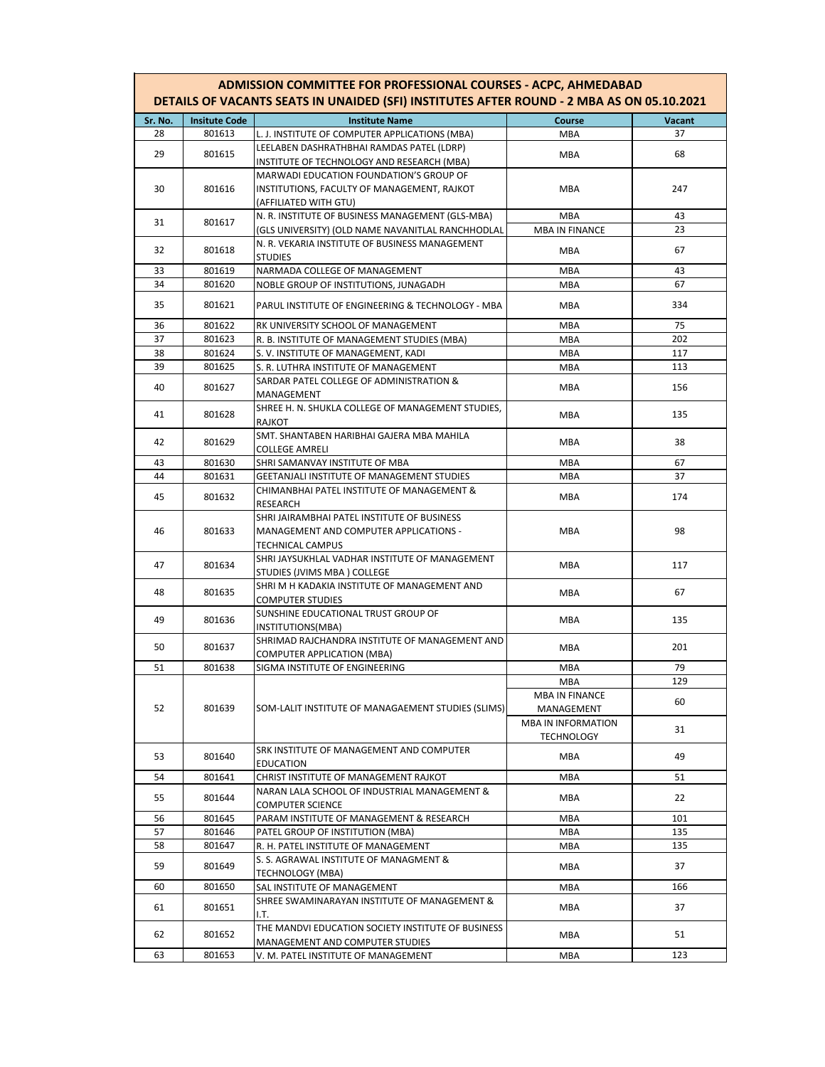| DETAILS OF VACANTS SEATS IN UNAIDED (SFI) INSTITUTES AFTER ROUND - 2 MBA AS ON 05.10.2021 |                      |                                                                |                           |           |  |
|-------------------------------------------------------------------------------------------|----------------------|----------------------------------------------------------------|---------------------------|-----------|--|
| Sr. No.                                                                                   | <b>Insitute Code</b> | <b>Institute Name</b>                                          | Course                    | Vacant    |  |
| 28                                                                                        | 801613               | L. J. INSTITUTE OF COMPUTER APPLICATIONS (MBA)                 | MBA                       | 37        |  |
| 29                                                                                        | 801615               | LEELABEN DASHRATHBHAI RAMDAS PATEL (LDRP)                      | MBA                       | 68        |  |
|                                                                                           |                      | INSTITUTE OF TECHNOLOGY AND RESEARCH (MBA)                     |                           |           |  |
|                                                                                           |                      | MARWADI EDUCATION FOUNDATION'S GROUP OF                        |                           |           |  |
| 30                                                                                        | 801616               | INSTITUTIONS, FACULTY OF MANAGEMENT, RAJKOT                    | <b>MBA</b>                | 247       |  |
|                                                                                           |                      | (AFFILIATED WITH GTU)                                          |                           |           |  |
| 31                                                                                        | 801617               | N. R. INSTITUTE OF BUSINESS MANAGEMENT (GLS-MBA)               | <b>MBA</b>                | 43        |  |
|                                                                                           |                      | (GLS UNIVERSITY) (OLD NAME NAVANITLAL RANCHHODLAL              | <b>MBA IN FINANCE</b>     | 23        |  |
| 32                                                                                        | 801618               | N. R. VEKARIA INSTITUTE OF BUSINESS MANAGEMENT                 | MBA                       | 67        |  |
|                                                                                           |                      | <b>STUDIES</b>                                                 |                           |           |  |
| 33                                                                                        | 801619               | NARMADA COLLEGE OF MANAGEMENT                                  | <b>MBA</b>                | 43        |  |
| 34                                                                                        | 801620               | NOBLE GROUP OF INSTITUTIONS, JUNAGADH                          | <b>MBA</b>                | 67        |  |
| 35                                                                                        | 801621               | PARUL INSTITUTE OF ENGINEERING & TECHNOLOGY - MBA              | MBA                       | 334       |  |
|                                                                                           |                      |                                                                |                           |           |  |
| 36                                                                                        | 801622               | RK UNIVERSITY SCHOOL OF MANAGEMENT                             | <b>MBA</b>                | 75        |  |
| 37                                                                                        | 801623               | R. B. INSTITUTE OF MANAGEMENT STUDIES (MBA)                    | <b>MBA</b>                | 202       |  |
| 38                                                                                        | 801624               | S.V. INSTITUTE OF MANAGEMENT, KADI                             | MBA                       | 117       |  |
| 39                                                                                        | 801625               | S. R. LUTHRA INSTITUTE OF MANAGEMENT                           | <b>MBA</b>                | 113       |  |
|                                                                                           |                      | SARDAR PATEL COLLEGE OF ADMINISTRATION &                       |                           |           |  |
| 40                                                                                        | 801627               | MANAGEMENT                                                     | MBA                       | 156       |  |
|                                                                                           |                      | SHREE H. N. SHUKLA COLLEGE OF MANAGEMENT STUDIES,              |                           |           |  |
| 41                                                                                        | 801628               | <b>RAJKOT</b>                                                  | MBA                       | 135       |  |
|                                                                                           |                      | SMT. SHANTABEN HARIBHAI GAJERA MBA MAHILA                      |                           |           |  |
| 42                                                                                        | 801629               | <b>COLLEGE AMRELI</b>                                          | MBA                       | 38        |  |
| 43                                                                                        | 801630               | SHRI SAMANVAY INSTITUTE OF MBA                                 | <b>MBA</b>                | 67        |  |
| 44                                                                                        | 801631               | GEETANJALI INSTITUTE OF MANAGEMENT STUDIES                     | MBA                       | 37        |  |
|                                                                                           |                      | CHIMANBHAI PATEL INSTITUTE OF MANAGEMENT &                     |                           |           |  |
| 45                                                                                        | 801632               | <b>RESEARCH</b>                                                | MBA                       | 174       |  |
|                                                                                           |                      | SHRI JAIRAMBHAI PATEL INSTITUTE OF BUSINESS                    |                           |           |  |
| 46                                                                                        |                      | MANAGEMENT AND COMPUTER APPLICATIONS -                         | MBA                       | 98        |  |
|                                                                                           | 801633               | TECHNICAL CAMPUS                                               |                           |           |  |
|                                                                                           |                      | SHRI JAYSUKHLAL VADHAR INSTITUTE OF MANAGEMENT                 |                           | 117<br>67 |  |
| 47                                                                                        | 801634               | STUDIES (JVIMS MBA) COLLEGE                                    | MBA                       |           |  |
|                                                                                           |                      | SHRI M H KADAKIA INSTITUTE OF MANAGEMENT AND                   |                           |           |  |
| 48                                                                                        | 801635               |                                                                | MBA                       |           |  |
|                                                                                           | 801636               | <b>COMPUTER STUDIES</b><br>SUNSHINE EDUCATIONAL TRUST GROUP OF | MBA                       | 135       |  |
| 49                                                                                        |                      |                                                                |                           |           |  |
|                                                                                           |                      | INSTITUTIONS(MBA)                                              |                           |           |  |
| 50                                                                                        | 801637               | SHRIMAD RAJCHANDRA INSTITUTE OF MANAGEMENT AND                 | MBA                       | 201       |  |
|                                                                                           |                      | <b>COMPUTER APPLICATION (MBA)</b>                              |                           |           |  |
| 51                                                                                        | 801638               | SIGMA INSTITUTE OF ENGINEERING                                 | MBA                       | 79        |  |
|                                                                                           |                      | 801639<br>SOM-LALIT INSTITUTE OF MANAGAEMENT STUDIES (SLIMS)   | MBA                       | 129       |  |
|                                                                                           |                      |                                                                | MBA IN FINANCE            | 60        |  |
| 52                                                                                        |                      |                                                                | MANAGEMENT                |           |  |
|                                                                                           |                      |                                                                | <b>MBA IN INFORMATION</b> | 31        |  |
|                                                                                           |                      |                                                                | <b>TECHNOLOGY</b>         |           |  |
| 53                                                                                        | 801640               | SRK INSTITUTE OF MANAGEMENT AND COMPUTER                       | MBA                       | 49        |  |
|                                                                                           |                      | <b>EDUCATION</b>                                               |                           |           |  |
| 54                                                                                        | 801641               | CHRIST INSTITUTE OF MANAGEMENT RAJKOT                          | MBA                       | 51        |  |
| 55                                                                                        | 801644               | NARAN LALA SCHOOL OF INDUSTRIAL MANAGEMENT &                   | MBA                       | 22        |  |
|                                                                                           |                      | <b>COMPUTER SCIENCE</b>                                        |                           |           |  |
| 56                                                                                        | 801645               | PARAM INSTITUTE OF MANAGEMENT & RESEARCH                       | <b>MBA</b>                | 101       |  |
| 57                                                                                        | 801646               | PATEL GROUP OF INSTITUTION (MBA)                               | MBA                       | 135       |  |
| 58                                                                                        | 801647               | R. H. PATEL INSTITUTE OF MANAGEMENT                            | MBA                       | 135       |  |
| 59                                                                                        | 801649               | S. S. AGRAWAL INSTITUTE OF MANAGMENT &                         |                           | 37        |  |
|                                                                                           |                      | TECHNOLOGY (MBA)                                               | MBA                       |           |  |
| 60                                                                                        | 801650               | SAL INSTITUTE OF MANAGEMENT                                    | MBA                       | 166       |  |
|                                                                                           |                      | SHREE SWAMINARAYAN INSTITUTE OF MANAGEMENT &                   |                           |           |  |
| 61                                                                                        | 801651               | I.T.                                                           | MBA                       | 37        |  |
|                                                                                           |                      | THE MANDVI EDUCATION SOCIETY INSTITUTE OF BUSINESS             |                           |           |  |
| 62                                                                                        | 801652               | MANAGEMENT AND COMPUTER STUDIES                                | MBA                       | 51        |  |
|                                                                                           |                      |                                                                |                           |           |  |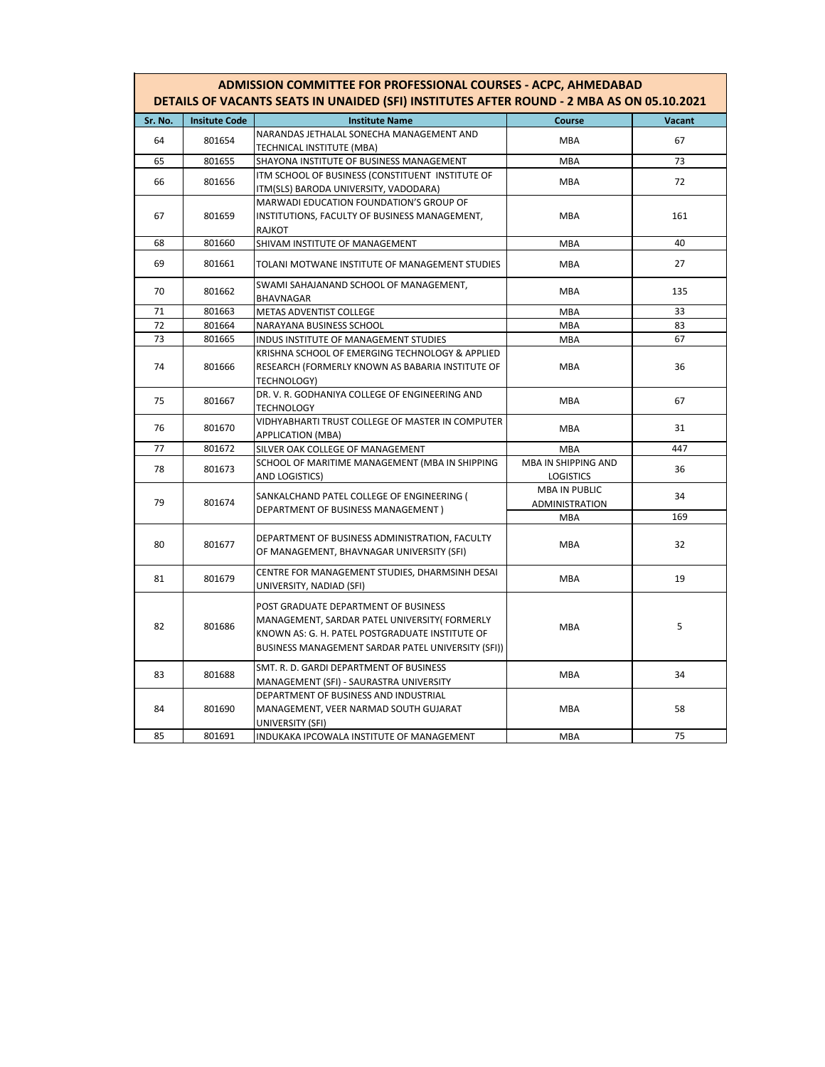| <b>ADMISSION COMMITTEE FOR PROFESSIONAL COURSES - ACPC, AHMEDABAD</b><br>DETAILS OF VACANTS SEATS IN UNAIDED (SFI) INSTITUTES AFTER ROUND - 2 MBA AS ON 05.10.2021 |                      |                                                                                                                                                                                                |                                         |        |
|--------------------------------------------------------------------------------------------------------------------------------------------------------------------|----------------------|------------------------------------------------------------------------------------------------------------------------------------------------------------------------------------------------|-----------------------------------------|--------|
| Sr. No.                                                                                                                                                            | <b>Insitute Code</b> | <b>Institute Name</b>                                                                                                                                                                          | Course                                  | Vacant |
| 64                                                                                                                                                                 | 801654               | NARANDAS JETHALAL SONECHA MANAGEMENT AND<br>TECHNICAL INSTITUTE (MBA)                                                                                                                          | <b>MBA</b>                              | 67     |
| 65                                                                                                                                                                 | 801655               | SHAYONA INSTITUTE OF BUSINESS MANAGEMENT                                                                                                                                                       | <b>MBA</b>                              | 73     |
| 66                                                                                                                                                                 | 801656               | ITM SCHOOL OF BUSINESS (CONSTITUENT INSTITUTE OF<br>ITM(SLS) BARODA UNIVERSITY, VADODARA)                                                                                                      | <b>MBA</b>                              | 72     |
| 67                                                                                                                                                                 | 801659               | MARWADI EDUCATION FOUNDATION'S GROUP OF<br>INSTITUTIONS, FACULTY OF BUSINESS MANAGEMENT,<br>RAJKOT                                                                                             | <b>MBA</b>                              | 161    |
| 68                                                                                                                                                                 | 801660               | SHIVAM INSTITUTE OF MANAGEMENT                                                                                                                                                                 | <b>MBA</b>                              | 40     |
| 69                                                                                                                                                                 | 801661               | TOLANI MOTWANE INSTITUTE OF MANAGEMENT STUDIES                                                                                                                                                 | <b>MBA</b>                              | 27     |
| 70                                                                                                                                                                 | 801662               | SWAMI SAHAJANAND SCHOOL OF MANAGEMENT,<br>BHAVNAGAR                                                                                                                                            | <b>MBA</b>                              | 135    |
| 71                                                                                                                                                                 | 801663               | METAS ADVENTIST COLLEGE                                                                                                                                                                        | <b>MBA</b>                              | 33     |
| 72                                                                                                                                                                 | 801664               | NARAYANA BUSINESS SCHOOL                                                                                                                                                                       | MBA                                     | 83     |
| 73                                                                                                                                                                 | 801665               | INDUS INSTITUTE OF MANAGEMENT STUDIES                                                                                                                                                          | <b>MBA</b>                              | 67     |
| 74                                                                                                                                                                 | 801666               | KRISHNA SCHOOL OF EMERGING TECHNOLOGY & APPLIED<br>RESEARCH (FORMERLY KNOWN AS BABARIA INSTITUTE OF<br>TECHNOLOGY)                                                                             | <b>MBA</b>                              | 36     |
| 75                                                                                                                                                                 | 801667               | DR. V. R. GODHANIYA COLLEGE OF ENGINEERING AND<br><b>TECHNOLOGY</b>                                                                                                                            | <b>MBA</b>                              | 67     |
| 76                                                                                                                                                                 | 801670               | VIDHYABHARTI TRUST COLLEGE OF MASTER IN COMPUTER<br><b>APPLICATION (MBA)</b>                                                                                                                   | <b>MBA</b>                              | 31     |
| 77                                                                                                                                                                 | 801672               | SILVER OAK COLLEGE OF MANAGEMENT                                                                                                                                                               | <b>MBA</b>                              | 447    |
| 78                                                                                                                                                                 | 801673               | SCHOOL OF MARITIME MANAGEMENT (MBA IN SHIPPING<br>AND LOGISTICS)                                                                                                                               | MBA IN SHIPPING AND<br><b>LOGISTICS</b> | 36     |
| 79                                                                                                                                                                 | 801674               | SANKALCHAND PATEL COLLEGE OF ENGINEERING (<br>DEPARTMENT OF BUSINESS MANAGEMENT)                                                                                                               | <b>MBA IN PUBLIC</b><br>ADMINISTRATION  | 34     |
|                                                                                                                                                                    |                      |                                                                                                                                                                                                | <b>MBA</b>                              | 169    |
| 80                                                                                                                                                                 | 801677               | DEPARTMENT OF BUSINESS ADMINISTRATION, FACULTY<br>OF MANAGEMENT, BHAVNAGAR UNIVERSITY (SFI)                                                                                                    | <b>MBA</b>                              | 32     |
| 81                                                                                                                                                                 | 801679               | CENTRE FOR MANAGEMENT STUDIES, DHARMSINH DESAI<br>UNIVERSITY, NADIAD (SFI)                                                                                                                     | <b>MBA</b>                              | 19     |
| 82                                                                                                                                                                 | 801686               | POST GRADUATE DEPARTMENT OF BUSINESS<br>MANAGEMENT, SARDAR PATEL UNIVERSITY( FORMERLY<br>KNOWN AS: G. H. PATEL POSTGRADUATE INSTITUTE OF<br>BUSINESS MANAGEMENT SARDAR PATEL UNIVERSITY (SFI)) | <b>MBA</b>                              | 5      |
| 83                                                                                                                                                                 | 801688               | SMT. R. D. GARDI DEPARTMENT OF BUSINESS<br>MANAGEMENT (SFI) - SAURASTRA UNIVERSITY                                                                                                             | <b>MBA</b>                              | 34     |
| 84                                                                                                                                                                 | 801690               | DEPARTMENT OF BUSINESS AND INDUSTRIAL<br>MANAGEMENT, VEER NARMAD SOUTH GUJARAT<br>UNIVERSITY (SFI)                                                                                             | <b>MBA</b>                              | 58     |
| 85                                                                                                                                                                 | 801691               | INDUKAKA IPCOWALA INSTITUTE OF MANAGEMENT                                                                                                                                                      | <b>MBA</b>                              | 75     |